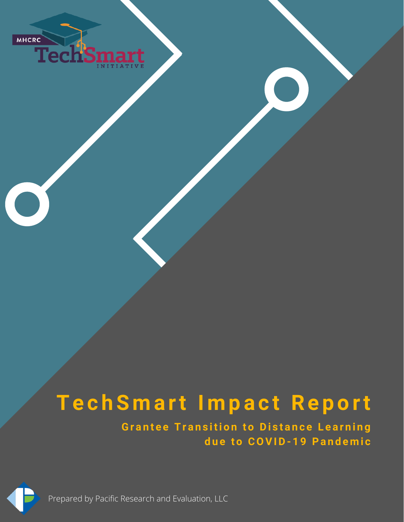

# **Te c hS m a rt I m p a c t Re p o rt**

**Grantee Transition to Distance Learning d u e t o COVID- 1 9 Pa n d e m i c**



Prepared by Pacific Research and Evaluation, LLC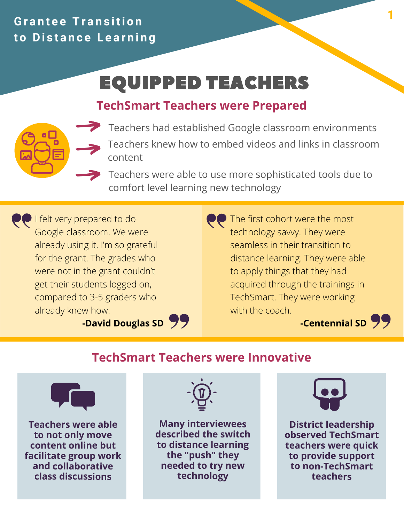## **Gr a n t e e Tr a n s iti o n to Distance Learning**

## EQUIPPED TEACHERS

## **TechSmart Teachers were Prepared**



Teachers had established Google classroom environments Teachers knew how to embed videos and links in classroom content

Teachers were able to use more sophisticated tools due to comfort level learning new technology

**PP** I felt very prepared to do Google classroom. We were already using it. I'm so grateful for the grant. The grades who were not in the grant couldn't get their students logged on, compared to 3-5 graders who already knew how.

**PP** The first cohort were the most technology savvy. They were seamless in their transition to distance learning. They were able to apply things that they had acquired through the trainings in TechSmart. They were working with the coach.

**-David Douglas SD**



### **TechSmart Teachers were Innovative**



**Teachers were able to not only move content online but facilitate group work and collaborative class discussions**



**Many interviewees described the switch to distance learning the "push" they needed to try new technology**



**District leadership observed TechSmart teachers were quick to provide support to non-TechSmart teachers**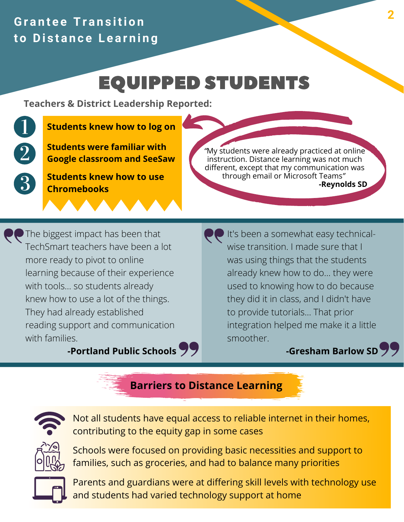## **Gr a n t e e Tr a n s iti o n to Distance Learning**

## EQUIPPED STUDENTS

**Teachers & District Leadership Reported:**

#### **Students knew how to log on**

**Students were familiar with Google classroom and SeeSaw**

**Students knew how to use Chromebooks**

*"*My students were already practiced at online instruction. Distance learning was not much different, except that my communication was through email or Microsoft Teams*"* **-Reynolds SD**

**PP** The biggest impact has been that TechSmart teachers have been a lot more ready to pivot to online learning because of their experience with tools... so students already knew how to use a lot of the things. They had already established reading support and communication with families.

**-Portland Public Schools**

It's been a somewhat easy technicalwise transition. I made sure that I was using things that the students already knew how to do... they were used to knowing how to do because they did it in class, and I didn't have to provide tutorials... That prior integration helped me make it a little smoother.

#### **-Gresham Barlow SD**

#### **Barriers to Distance Learning**



Not all students have equal access to reliable internet in their homes, contributing to the equity gap in some cases



Schools were focused on providing basic necessities and support to families, such as groceries, and had to balance many priorities



Parents and guardians were at differing skill levels with technology use and students had varied technology support at home